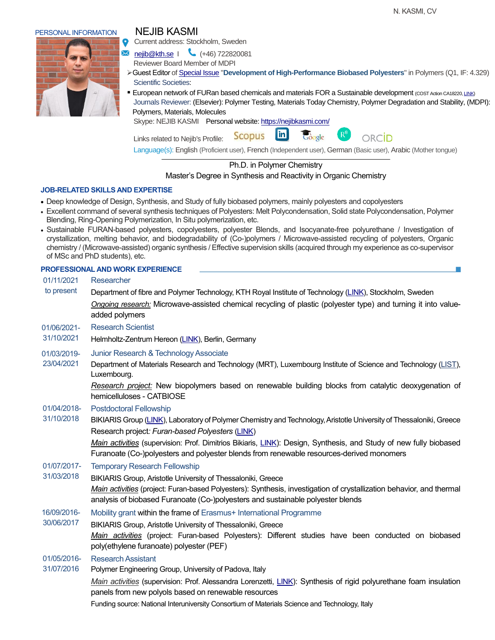ORCID

Current address: Stockholm, Sweden

nejib@kth.se | (+46) 722820081

Reviewer Board Member of MDPI

- ➢Guest Editor of [Special Issue](https://www.mdpi.com/journal/polymers/special_issues/Dev_High_Perform_Biobased_Polyest) "**Development of High-Performance Biobased Polyesters**" in Polymers (Q1, IF: 4.329) Scientific Societies:
- **European network of FURan based chemicals and materials FOR a Sustainable development (COST Action CA18220[, LINK\)](https://www.cost.eu/actions/CA18220/#tabs|Name:management-committee)**  Journals Reviewer: (Elsevier): Polymer Testing, Materials Today Chemistry, Polymer Degradation and Stability, (MDPI): Polymers, Materials, Molecules

Google

Skype: NEJIB KASMI Personal website[: https://nejibkasmi.com/](https://nejibkasmi.com/)

**lin Scopus** Links related to Nejib's Profile:

Language(s): English (Proficient user), French (Independent user), German (Basic user), Arabic (Mother tongue)

# Ph.D. in Polymer Chemistry

## Master's Degree in Synthesis and Reactivity in Organic Chemistry

## **JOB-RELATED SKILLS AND EXPERTISE**

- Deep knowledge of Design, Synthesis, and Study of fully biobased polymers, mainly polyesters and copolyesters
- Excellent command of several synthesis techniques of Polyesters: Melt Polycondensation, Solid state Polycondensation, Polymer Blending, Ring-Opening Polymerization, In Situ polymerization, etc.
- Sustainable FURAN-based polyesters, copolyesters, polyester Blends, and Isocyanate-free polyurethane / Investigation of crystallization, melting behavior, and biodegradability of (Co-)polymers / Microwave-assisted recycling of polyesters, Organic chemistry / (Microwave-assisted) organic synthesis / Effective supervision skills (acquired through my experience as co-supervisor of MSc and PhD students), etc.

**PROFESSIONAL AND WORK EXPERIENCE** 01/11/2021 to present **Researcher** Department of fibre and Polymer Technology, KTH Royal Institute of Technology [\(LINK\)](https://www.kth.se/en), Stockholm, Sweden *Ongoing research:* Microwave-assisted chemical recycling of plastic (polyester type) and turning it into valueadded polymers 01/06/2021- 31/10/2021 Research Scientist Helmholtz-Zentrum Hereon [\(LINK\)](https://www.hereon.de/index.php.en), Berlin, Germany 01/03/2019- 23/04/2021 Junior Research & Technology Associate Department of Materials Research and Technology (MRT), Luxembourg Institute of Science and Technology [\(LIST\)](https://www.list.lu/), Luxembourg. *Research project:* New biopolymers based on renewable building blocks from catalytic deoxygenation of hemicelluloses - CATBIOSE 01/04/2018- 31/10/2018 Postdoctoral Fellowship BIKIARIS Group [\(LINK\)](https://www.researchgate.net/profile/Dimitrios_Bikiaris), Laboratory of Polymer Chemistry and Technology, Aristotle University of Thessaloniki, Greece Research project*: Furan-based Polyesters* [\(LINK\)](https://www.researchgate.net/project/Furan-based-polyesters?_sg=8EhfGEnJANBkqvGbXQ-0wA1YzGgZK1HRPKvPN0p9eMQo9YeZfZKb7BvJYo4o9LcgVTiXFmZ4SLucrVJEzkAiK59mVV8VPkWY_HWY) *Main activities* (supervision: Prof. Dimitrios Bikiaris, [LINK](https://www.scopus.com/authid/detail.uri?origin=AuthorProfile&authorId=7004708162&zone=)): Design, Synthesis, and Study of new fully biobased Furanoate (Co-)polyesters and polyester blends from renewable resources-derived monomers 01/07/2017- 31/03/2018 Temporary Research Fellowship BIKIARIS Group, Aristotle University of Thessaloniki, Greece *Main activities* (project: Furan-based Polyesters): Synthesis, investigation of crystallization behavior, and thermal analysis of biobased Furanoate (Co-)polyesters and sustainable polyester blends 16/09/2016- 30/06/2017 Mobility grant within the frame of Erasmus+ International Programme BIKIARIS Group, Aristotle University of Thessaloniki, Greece *Main activities* (project: Furan-based Polyesters): Different studies have been conducted on biobased poly(ethylene furanoate) polyester (PEF) 01/05/2016- 31/07/2016 Research Assistant Polymer Engineering Group, University of Padova, Italy *Main activities* (supervision: Prof. Alessandra Lorenzetti, [LINK](https://www.scopus.com/authid/detail.uri?authorId=8252182800)): Synthesis of rigid polyurethane foam insulation panels from new polyols based on renewable resources Funding source: National Interuniversity Consortium of Materials Science and Technology, Italy

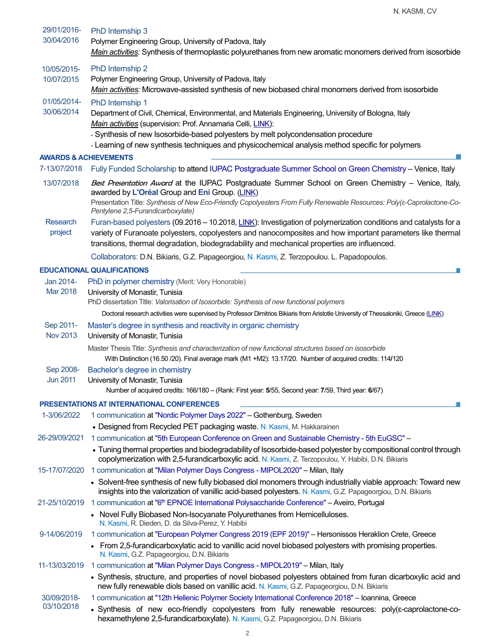| 29/01/2016-<br>30/04/2016                  | PhD Internship 3<br>Polymer Engineering Group, University of Padova, Italy<br>Main activities: Synthesis of thermoplastic polyurethanes from new aromatic monomers derived from isosorbide                                                                                                                                                                                        |  |
|--------------------------------------------|-----------------------------------------------------------------------------------------------------------------------------------------------------------------------------------------------------------------------------------------------------------------------------------------------------------------------------------------------------------------------------------|--|
| 10/05/2015-                                | PhD Internship 2                                                                                                                                                                                                                                                                                                                                                                  |  |
| 10/07/2015                                 | Polymer Engineering Group, University of Padova, Italy<br>Main activities: Microwave-assisted synthesis of new biobased chiral monomers derived from isosorbide                                                                                                                                                                                                                   |  |
| 01/05/2014-<br>30/06/2014                  | PhD Internship 1<br>Department of Civil, Chemical, Environmental, and Materials Engineering, University of Bologna, Italy<br>Main activities (supervision: Prof. Annamaria Celli, LINK):<br>- Synthesis of new Isosorbide-based polyesters by melt polycondensation procedure<br>- Learning of new synthesis techniques and physicochemical analysis method specific for polymers |  |
| <b>AWARDS &amp; ACHIEVEMENTS</b>           |                                                                                                                                                                                                                                                                                                                                                                                   |  |
| 7-13/07/2018                               | Fully Funded Scholarship to attend IUPAC Postgraduate Summer School on Green Chemistry - Venice, Italy                                                                                                                                                                                                                                                                            |  |
| 13/07/2018                                 | Best Presentation Award at the IUPAC Postgraduate Summer School on Green Chemistry - Venice, Italy,<br>awarded by L'Oréal Group and Eni Group. (LINK)<br>Presentation Title: Synthesis of New Eco-Friendly Copolyesters From Fully Renewable Resources: Poly(ε-Caprolactone-Co-<br>Pentylene 2,5-Furandicarboxylate)                                                              |  |
| Research<br>project                        | Furan-based polyesters (09.2016 - 10.2018, LINK): Investigation of polymerization conditions and catalysts for a<br>variety of Furanoate polyesters, copolyesters and nanocomposites and how important parameters like thermal<br>transitions, thermal degradation, biodegradability and mechanical properties are influenced.                                                    |  |
|                                            | Collaborators: D.N. Bikiaris, G.Z. Papageorgiou, N. Kasmi, Z. Terzopoulou. L. Papadopoulos.                                                                                                                                                                                                                                                                                       |  |
|                                            | <b>EDUCATIONAL QUALIFICATIONS</b>                                                                                                                                                                                                                                                                                                                                                 |  |
| Jan 2014-<br>Mar 2018                      | PhD in polymer chemistry (Merit: Very Honorable)<br>University of Monastir, Tunisia<br>PhD dissertation Title: Valorisation of Isosorbide: Synthesis of new functional polymers                                                                                                                                                                                                   |  |
|                                            | Doctoral research activities were supervised by Professor Dimitrios Bikiaris from Aristotle University of Thessaloniki, Greece (LINK)                                                                                                                                                                                                                                             |  |
| Sep 2011-<br><b>Nov 2013</b>               | Master's degree in synthesis and reactivity in organic chemistry<br>University of Monastir, Tunisia                                                                                                                                                                                                                                                                               |  |
|                                            | Master Thesis Title: Synthesis and characterization of new functional structures based on isosorbide<br>With Distinction (16.50 /20). Final average mark (M1 +M2): 13.17/20. Number of acquired credits: 114/120                                                                                                                                                                  |  |
| Sep 2008-                                  | Bachelor's degree in chemistry                                                                                                                                                                                                                                                                                                                                                    |  |
| <b>Jun 2011</b>                            | University of Monastir, Tunisia<br>Number of acquired credits: 166/180 - (Rank: First year: 5/55, Second year: 7/59, Third year: 6/67)                                                                                                                                                                                                                                            |  |
| PRESENTATIONS AT INTERNATIONAL CONFERENCES |                                                                                                                                                                                                                                                                                                                                                                                   |  |
| 1-3/06/2022                                | 1 communication at "Nordic Polymer Days 2022" - Gothenburg, Sweden                                                                                                                                                                                                                                                                                                                |  |
|                                            | • Designed from Recycled PET packaging waste. N. Kasmi, M. Hakkarainen                                                                                                                                                                                                                                                                                                            |  |
| 26-29/09/2021                              | 1 communication at "5th European Conference on Green and Sustainable Chemistry - 5th EuGSC" -<br>• Tuning thermal properties and biodegradability of Isosorbide-based polyester by compositional control through                                                                                                                                                                  |  |
|                                            | copolymerization with 2,5-furandicarboxylic acid. N. Kasmi, Z. Terzopoulou, Y. Habibi, D.N. Bikiaris                                                                                                                                                                                                                                                                              |  |
| 15-17/07/2020                              | 1 communication at "Milan Polymer Days Congress - MIPOL2020" - Milan, Italy<br>• Solvent-free synthesis of new fully biobased diol monomers through industrially viable approach: Toward new<br>insights into the valorization of vanillic acid-based polyesters. N. Kasmi, G.Z. Papageorgiou, D.N. Bikiaris                                                                      |  |
|                                            | 21-25/10/2019 1 communication at "6 <sup>th</sup> EPNOE International Polysaccharide Conference" - Aveiro, Portugal                                                                                                                                                                                                                                                               |  |
|                                            | • Novel Fully Biobased Non-Isocyanate Polyurethanes from Hemicelluloses.<br>N. Kasmi, R. Dieden, D. da Silva-Perez, Y. Habibi                                                                                                                                                                                                                                                     |  |
| 9-14/06/2019                               | 1 communication at "European Polymer Congress 2019 (EPF 2019)" - Hersonissos Heraklion Crete, Greece                                                                                                                                                                                                                                                                              |  |
|                                            | • From 2,5-furandicarboxylatic acid to vanillic acid novel biobased polyesters with promising properties.<br>N. Kasmi, G.Z. Papageorgiou, D.N. Bikiaris                                                                                                                                                                                                                           |  |
| 11-13/03/2019                              | 1 communication at "Milan Polymer Days Congress - MIPOL2019" - Milan, Italy                                                                                                                                                                                                                                                                                                       |  |
|                                            | • Synthesis, structure, and properties of novel biobased polyesters obtained from furan dicarboxylic acid and<br>new fully renewable diols based on vanillic acid. N. Kasmi, G.Z. Papageorgiou, D.N. Bikiaris                                                                                                                                                                     |  |
| 30/09/2018-                                | 1 communication at "12th Hellenic Polymer Society International Conference 2018" - Ioannina, Greece                                                                                                                                                                                                                                                                               |  |
| 03/10/2018                                 | • Synthesis of new eco-friendly copolyesters from fully renewable resources: poly( $\varepsilon$ -caprolactone-co-<br>hexamethylene 2,5-furandicarboxylate). N. Kasmi, G.Z. Papageorgiou, D.N. Bikiaris                                                                                                                                                                           |  |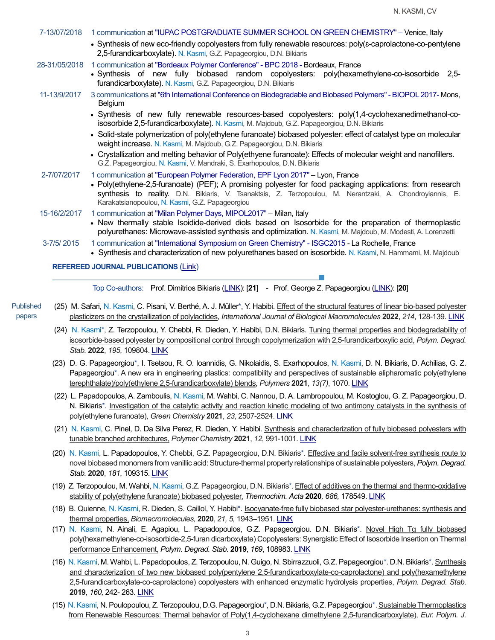| <b>REFEREED JOURNAL PUBLICATIONS (Link)</b> |                                                                                                                                                                                                                                                                                                                                                                                             |
|---------------------------------------------|---------------------------------------------------------------------------------------------------------------------------------------------------------------------------------------------------------------------------------------------------------------------------------------------------------------------------------------------------------------------------------------------|
| 3-7/5/2015                                  | 1 communication at "International Symposium on Green Chemistry" - ISGC2015 - La Rochelle, France<br>• Synthesis and characterization of new polyurethanes based on isosorbide. N. Kasmi, N. Hammami, M. Majdoub                                                                                                                                                                             |
| 15-16/2/2017                                | 1 communication at "Milan Polymer Days, MIPOL2017" - Milan, Italy<br>• New thermally stable Isoidide-derived diols based on Isosorbide for the preparation of thermoplastic<br>polyurethanes: Microwave-assisted synthesis and optimization. N. Kasmi, M. Majdoub, M. Modesti, A. Lorenzetti                                                                                                |
| 2-7/07/2017                                 | 1 communication at "European Polymer Federation, EPF Lyon 2017" - Lyon, France<br>• Poly(ethylene-2,5-furanoate) (PEF); A promising polyester for food packaging applications: from research<br>synthesis to reality. D.N. Bikiaris, V. Tsanaktsis, Z. Terzopoulou, M. Nerantzaki, A. Chondroyiannis, E.<br>Karakatsianopoulou, N. Kasmi, G.Z. Papageorgiou                                 |
|                                             | • Solid-state polymerization of poly(ethylene furanoate) biobased polyester: effect of catalyst type on molecular<br>weight increase. N. Kasmi, M. Majdoub, G.Z. Papageorgiou, D.N. Bikiaris<br>• Crystallization and melting behavior of Poly(ethyene furanoate): Effects of molecular weight and nanofillers.<br>G.Z. Papageorgiou, N. Kasmi, V. Mandraki, S. Exarhopoulos, D.N. Bikiaris |
|                                             | · Synthesis of new fully renewable resources-based copolyesters: poly(1,4-cyclohexanedimethanol-co-<br>isosorbide 2,5-furandicarboxylate). N. Kasmi, M. Majdoub, G.Z. Papageorgiou, D.N. Bikiaris                                                                                                                                                                                           |
| 11-13/9/2017                                | 3 communications at "6th International Conference on Biodegradable and Biobased Polymers" - BIOPOL 2017-Mons,<br>Belgium                                                                                                                                                                                                                                                                    |
| 28-31/05/2018                               | 1 communication at "Bordeaux Polymer Conference" - BPC 2018 - Bordeaux, France<br>• Synthesis of new fully biobased random copolyesters: poly(hexamethylene-co-isosorbide 2,5-<br>furandicarboxylate). N. Kasmi, G.Z. Papageorgiou, D.N. Bikiaris                                                                                                                                           |
|                                             | • Synthesis of new eco-friendly copolyesters from fully renewable resources: poly(s-caprolactone-co-pentylene<br>2,5-furandicarboxylate). N. Kasmi, G.Z. Papageorgiou, D.N. Bikiaris                                                                                                                                                                                                        |
| 7-13/07/2018                                | 1 communication at "IUPAC POSTGRADUATE SUMMER SCHOOL ON GREEN CHEMISTRY" - Venice, Italy                                                                                                                                                                                                                                                                                                    |

Top Co-authors:Prof. Dimitrios Bikiaris [\(LINK\)](https://scholar.google.lu/citations?user=irW61n0AAAAJ&hl=en): [**21**] - Prof. George Z. Papageorgiou [\(LINK\)](https://scholar.google.lu/citations?user=Mtu9q38AAAAJ&hl=en): [**20**]

- Published papers (25) M. Safari, N. Kasmi, C. Pisani, V. Berthé, A. J. Müller\*, Y. Habibi. Effect of the structural features of linear bio-based polyester plasticizers on the crystallization of polylactides, *International Journal of Biological Macromolecules* **2022**, *214*, 128-139[. LINK](https://doi.org/10.1016/j.ijbiomac.2022.06.056)
	- (24) N. Kasmi\*, Z. Terzopoulou, Y. Chebbi, R. Dieden, Y. Habibi, D.N. Bikiaris. Tuning thermal properties and biodegradability of isosorbide-based polyester by compositional control through copolymerization with 2,5-furandicarboxylic acid, *Polym. Degrad. Stab.* **2022**, *195*, 109804. [LINK](https://doi.org/10.1016/j.polymdegradstab.2021.109804)
	- (23) D. G. Papageorgiou\*, I. Tsetsou, R. O. Ioannidis, G. Nikolaidis, S. Exarhopoulos, N. Kasmi, D. N. Bikiaris, D. Achilias, G. Z. Papageorgiou\*. A new era in engineering plastics: compatibility and perspectives of sustainable alipharomatic poly(ethylene terephthalate)/poly(ethylene 2,5-furandicarboxylate) blends, *Polymers* **2021**, *13(7)*, 1070[. LINK](https://www.mdpi.com/2073-4360/13/7/1070)
	- (22) L. Papadopoulos, A. Zamboulis, N. Kasmi, M. Wahbi, C. Nannou, D.A. Lambropoulou, M. Kostoglou, G. Z. Papageorgiou, D. N. Bikiaris\*. Investigation of the catalytic activity and reaction kinetic modeling of two antimony catalysts in the synthesis of poly(ethylene furanoate), *Green Chemistry* **2021**, *23*, 2507-2524. [LINK](https://pubs.rsc.org/en/content/articlelanding/2021/gc/d0gc04254d#!divAbstract)
	- (21) N. Kasmi, C. Pinel, D. Da Silva Perez, R. Dieden, Y. Habibi. Synthesis and characterization of fully biobased polyesters with tunable branched architectures, *Polymer Chemistry* **2021**, *12*, 991-1001[. LINK](https://pubs.rsc.org/en/content/articlelanding/2021/py/d0py01512a#!divAbstract)
	- (20) N. Kasmi, L. Papadopoulos, Y. Chebbi, G.Z. Papageorgiou, D.N. Bikiaris\*. Effective and facile solvent-free synthesis route to novel biobased monomers from vanillic acid: Structure-thermal property relationships of sustainable polyesters,*Polym. Degrad. Stab.* **2020**, *181*, 109315. [LINK](https://doi.org/10.1016/j.polymdegradstab.2020.109315)
	- (19) Z. Terzopoulou, M. Wahbi, N. Kasmi, G.Z. Papageorgiou, D.N. Bikiaris\*.Effect of additives on the thermal and thermo-oxidative stability of poly(ethylene furanoate) biobased polyester, *Thermochim. Acta* **2020***, 686,* 178549. [LINK](https://www.sciencedirect.com/science/article/abs/pii/S0040603120300034)
	- (18) B. Quienne, N. Kasmi, R. Dieden, S. Caillol, Y. Habibi\*. Isocyanate-free fully biobased star polyester-urethanes: synthesis and thermal properties, *Biomacromolecules,* **2020**, *21, 5,* 1943–1951. [LINK](https://doi.org/10.1021/acs.biomac.0c00156)
	- (17) N. Kasmi, N. Ainali, E. Agapiou, L. Papadopoulos, G.Z. Papageorgiou. D.N. Bikiaris\*. Novel High Tg fully biobased poly(hexamethylene-co-isosorbide-2,5-furan dicarboxylate) Copolyesters: Synergistic Effect of Isosorbide Insertion on Thermal performance Enhancement, *Polym. Degrad. Stab.* **2019**, *169*, 108983. [LINK](https://doi.org/10.1016/j.polymdegradstab.2019.108983)
	- (16) N. Kasmi, M. Wahbi, L. Papadopoulos, Z. Terzopoulou, N. Guigo, N. Sbirrazzuoli, G.Z. Papageorgiou\*. D.N. Bikiaris\*. Synthesis and characterization of two new biobased poly(pentylene 2,5-furandicarboxylate-co-caprolactone) and poly(hexamethylene 2,5-furandicarboxylate-co-caprolactone) copolyesters with enhanced enzymatic hydrolysis properties, *Polym. Degrad. Stab.* **2019***, 160,* 242- 263. [LINK](https://doi.org/10.1016/j.polymdegradstab.2019.01.004)
	- (15) N. Kasmi, N. Poulopoulou, Z. Terzopoulou, D.G. Papageorgiou\*, D.N. Bikiaris, G.Z. Papageorgiou\*. Sustainable Thermoplastics from Renewable Resources: Thermal behavior of Poly(1,4-cyclohexane dimethylene 2,5-furandicarboxylate), *Eur. Polym. J.*